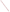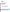# **Environmental Technology Verification Program** Advanced Monitoring Systems Center

# Test/QA Plan for Verification of Dioxin Emission Monitoring Systems (EMSs)

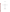# **TEST/QA PLAN**

**for** 

# Verification of Dioxin Emission Monitoring Systems (EMSs)

Version 1.0

**September 2, 2005** 

**Prepared by** 

**Battelle 505 King Avenue Columbus, OH 43201-2693**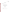*Dioxin Emission Monitoring Systems Test/QA Plan Page 2 of 48 Version: 1.0 September 2, 2005*

# **SECTION A PROJECT MANAGEMENT**

# **A1 VENDOR APPROVAL PAGE**

ETV Advanced Monitoring Systems Center

Draft Test/QA Plan for Verification of Dioxin Emission Monitoring Systems (EMSs)

Version 1

September 2, 2005 APPROVAL:

Name \_\_\_\_\_\_\_\_\_\_\_\_\_\_\_\_\_\_\_\_\_\_\_\_\_\_\_\_\_\_\_\_\_\_

Company \_\_\_\_\_\_\_\_\_\_\_\_\_\_\_\_\_\_\_\_\_\_\_\_\_\_\_\_\_\_\_

Date \_\_\_\_\_\_\_\_\_\_\_\_\_\_\_\_\_\_\_\_\_\_\_\_\_\_\_\_\_\_\_\_\_\_\_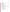*Dioxin Emission Monitoring Systems Test/QA Plan Page 3 of 48 Version: 1.0 September 2, 2005*

# **A2 TABLE OF CONTENTS**

Section Page

| PROJECT MANAGEMENT<br>$\mathbf{A}$<br>A <sub>1</sub><br>A <sub>2</sub><br>A <sub>3</sub><br>A <sub>4</sub><br>A <sub>5</sub><br>A6<br>A7<br>A8<br>A <sup>9</sup> |  |
|------------------------------------------------------------------------------------------------------------------------------------------------------------------|--|
|                                                                                                                                                                  |  |
| $\mathbf{B}$<br>MEASUREMENT AND DATA ACQUISITION                                                                                                                 |  |
| B <sub>1</sub>                                                                                                                                                   |  |
| B <sub>2</sub><br>B <sub>3</sub>                                                                                                                                 |  |
| B <sub>4</sub>                                                                                                                                                   |  |
| B <sub>5</sub>                                                                                                                                                   |  |
| <b>B6</b>                                                                                                                                                        |  |
| B7                                                                                                                                                               |  |
| <b>B8</b>                                                                                                                                                        |  |
| <b>B9</b>                                                                                                                                                        |  |
| <b>B10</b>                                                                                                                                                       |  |
|                                                                                                                                                                  |  |
| $\mathcal{C}$<br>ASSESSMENT AND OVERSIGHT                                                                                                                        |  |
| C <sub>1</sub>                                                                                                                                                   |  |
| C <sub>2</sub>                                                                                                                                                   |  |
| D<br>DATA VALIDATION AND USABILITY                                                                                                                               |  |
| D <sub>1</sub>                                                                                                                                                   |  |
| D2                                                                                                                                                               |  |
| D <sub>3</sub>                                                                                                                                                   |  |
| E                                                                                                                                                                |  |
|                                                                                                                                                                  |  |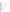*Dioxin Emission Monitoring Systems Test/QA Plan Page 4 of 48 Version: 1.0 September 2, 2005*

# **A3 DISTRIBUTION LIST**

#### **Dioxin EMS Vendors**

Jürgen Reinmann Becker Messtechnik Kolner Strasse 6 D-65760 Eschborn Germany

Tsunehisa (Tom) Onishi IDX Technologies NI Bld. 3-12-9 Kayaba-cho Nihonbashi, Chuo Tokyo, Japan

Thomas Steiner Monitoring Systems Schloss 2 A-2542 Kottingbrunn Niederösterreich Austria

Brian Gullett U.S. Environmental Protection Agency E305-01 USEPA Mailroom Research Triangle Park, NC 27711

## **EPA**

Elizabeth A. Betz U.S. Environmental Protection Agency-National Exposure Research Laboratory E205-01 EPA Mailroom Research Triangle Park, NC 27711

Robert Fuerst U.S. Environmental Protection Agency-National Exposure Research Laboratory D205-05 EPA Mailroom Research Triangle Park, NC 27711

#### **Battelle**

Kenneth Cowen Thomas Kelly Karen Riggs Zachary Willenberg Robyn Kroeger Battelle 505 King Ave. Columbus, OH 43201

#### **ARCADIS**

Dahman Touati ARCADIS 4915 Prospectus Drive Suite F Durham, N.C. 27713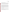# **A4 VERIFICATION TEST ORGANIZATION**

The verification test will be conducted under the auspices of the U.S. Environmental Protection Agency (EPA) through the Environmental Technology Verification (ETV) Program. It will be performed by Battelle, which is managing the ETV Advanced Monitoring Systems (AMS) Center through a cooperative agreement with EPA. The scope of the AMS Center covers verification of monitoring technologies for contaminants and natural species in air, water, and soil.

This verification test will be coordinated and supervised by Battelle, with the support of ARCADIS Inc., and in cooperation with EPA. The testing will be conducted at the EPA's Research Triangle Park (RTP) campus and will involve the evaluation of commercial dioxin emission monitoring systems (EMSs), where the term "dioxin" is used to generically represent polychlorinated dibenzo-p-dioxins and polychlorinated dibenzofurans. Staff from ARCADIS will support this test under subcontract from Battelle. ARCADIS will provide support in preparing for the test, during installation of the dioxin EMSs to be tested, and by overseeing operation of the EMSs during periods of routine operation. Additionally, ARCADIS will collect reference dioxin samples and will arrange for the reference samples to be analyzed using a modified version of EPA Method 23.<sup>1</sup>

Each EMS vendor will install their respective EMS, operate the EMS through portions of the test (unless they give written consent for Battelle or ARCADIS staff to operate it), and repair or maintain their EMS during the test.

Quality assurance (QA) oversight will be provided by the Battelle Quality Manager, and also by the EPA AMS Center Quality Manager at her discretion. The organization chart in Figure 1 identifies the responsibilities of the organizations and individuals associated with the verification test. Roles and responsibilities are defined further below.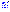*Dioxin Emission Monitoring Systems Test/QA Plan Page 6 of 48 Version: 1.0 September 2, 2005*



**Figure 1. Organizational Chart**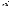## **A4.1 Battelle**

Dr. Kenneth Cowen is the AMS Center Verification Test Coordinator for this test. In this role, Dr. Cowen will have overall responsibility for ensuring that the technical, schedule, and cost goals established for the verification test are met. Specifically, he will:

- $\triangleright$  Assemble a team of qualified technical staff to conduct the verification test.
- $\triangleright$  Direct the team (Battelle and ARCADIS staff) in performing the verification test in accordance with this test/QA plan.
- $\triangleright$  Ensure that all quality procedures specified in the test/QA plan and in the AMS Center Quality Management  $Plan<sup>2</sup>$  (QMP) are followed.
- $\triangleright$  Manage the subcontract(s) under which ARCADIS conducts the testing activities.
- $\triangleright$  Prepare the draft and final test/QA plan, verification reports, and verification statements.
- $\triangleright$  Revise the draft test/QA plan, verification reports, and verification statements in response to reviewers' comments.
- $\triangleright$  Respond to any issues raised in assessment reports and audits, including instituting corrective action as necessary.
- $\triangleright$  Serve as the primary point of contact for vendor representatives.
- $\triangleright$  Coordinate distribution of the final test/QA plan, verification reports, and statements.
- $\triangleright$  Establish a budget for the verification test and manage staff to ensure the budget is not exceeded.
- $\triangleright$  Ensure that confidentiality of sensitive vendor information is maintained.

Dr. Thomas Kelly is Battelle's Verification Testing Leader for the AMS Center. Dr. Kelly will:

- $\triangleright$  Support Dr. Cowen in preparing the test/QA plan and organizing the test.
- $\triangleright$  Review the draft and final test/QA plan.
- $\triangleright$  Review the draft verification reports and statements.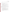¾ Support Dr. Cowen in responding to any issues raised in assessment reports and audits.

Ms. Karen Riggs is Battelle's manager for the AMS Center. Ms. Riggs will:

- $\triangleright$  Review the draft and final test/QA plan.
- $\triangleright$  Review the draft and final verification reports and verification statements.
- $\triangleright$  Ensure that necessary Battelle resources, including staff and facilities, are committed to the verification test.
- $\triangleright$  Ensure that confidentiality of sensitive vendor information is maintained.
- $\triangleright$  Maintain communication with EPA's technical and quality managers.
- $\triangleright$  Facilitate a stop work order if Battelle or EPA QA staff discovers adverse findings that will compromise data quality or test results.

Battelle Testing Staff will conduct the testing of the dioxin EMSs during the verification test. Battelle staff (including Dr. Cowen) will be on-site at the EPA test facility during the verification test, and will be in daily communication with facility personnel, and with EMS vendors as needed. The responsibilities of the technical staff will be to:

- $\triangleright$  Maintain and operate the dioxin EMSs if so instructed by the vendors, assuming proper training in EMS operation is provided.
- $\triangleright$  Assure that verification testing is performed as described in the test/OA plan.
- ¾ Communicate and coordinate with ARCADIS staff and the EMS vendor representatives on the installation, operation, testing, and removal of the EMSs.
- $\triangleright$  Communicate with ARCADIS testing staff on the planning, performance, and reporting of the reference dioxin sampling and analysis.
- $\triangleright$  Record qualitative observations about the maintenance and operation of the dioxin EMSs during testing.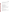- $\triangleright$  Assure that the data from each dioxin EMS are recorded and transmitted to the Verification Test Coordinator on at least a weekly basis.
- ¾ Provide input on test procedures, EMS operation and maintenance, and field conditions for the draft verification reports.

Mr. Zachary Willenberg is Battelle's Quality Manager for the AMS Center. Mr. Willenberg will:

- $\triangleright$  Review the draft and final test/QA plan.
- $\triangleright$  Conduct a technical systems audit at least once during the verification test, or designate other QA staff to conduct the audit.
- $\triangleright$  Audit at least 10% of the verification data.
- ¾ Prepare and distribute an assessment report for each audit.
- $\triangleright$  Verify implementation of any necessary corrective action.
- $\triangleright$  Notify Battelle's AMS Center Manager to issue a stop work order if audits indicate that data quality is being compromised.
- $\triangleright$  Provide a summary of the QA/QC activities and results for the verification reports.
- $\triangleright$  Review the draft and final verification reports and verification statements.
- $\triangleright$  Assume overall responsibility for ensuring that the test/QA plan is followed.

# **A4.2 Dioxin EMS Vendors**

The responsibilities of the EMS vendors are as follows:

- $\triangleright$  Review and provide comments on the draft test/QA plan.
- $\triangleright$  Approve the final test/QA plan prior to test initiation.
- $\triangleright$  Provide a dioxin EMS with complete flue gas sampling inlet for evaluation during the verification test.
- ¾ Provide all other equipment/supplies/reagents/consumables needed to operate their EMSs for the duration of the verification test.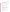- $\triangleright$  Supply a representative to install and maintain their technology, and to operate it in portions of the test specified in this test/QA plan, or provide written consent and instructions for Battelle staff to carry out these activities.
- $\triangleright$  Provide written instructions for routine operation of their EMSs, including a daily checklist of diagnostic and/or maintenance activities.
- $\triangleright$  Review and provide comments on the draft verification report and statement for their respective EMSs.

# **A4.3 EPA**

EPA's responsibilities for the AMS Center are based on the requirements stated in the "Environmental Technology Verification Program Quality Management Plan" (EPA QMP).<sup>3</sup> The roles of specific EPA staff are as follows:

Ms. Elizabeth Betz is EPA's AMS Center Quality Manager. Ms. Betz will:

- $\triangleright$  Review the draft test/QA plan.
- ¾ Perform at her option one external technical systems audit during the verification test.
- ¾ Notify the EPA AMS Center Manager of the need for a stop work order if the external audit indicates that data quality is being compromised.
- $\triangleright$  Prepare and distribute an assessment report summarizing results of the external audit.
- $\triangleright$  Review draft verification reports and statements.

Mr. Robert Fuerst is EPA's manager for the AMS Center. Mr. Fuerst will:

- $\triangleright$  Review the draft test/QA plan.
- $\triangleright$  Approve the final test/QA plan.
- $\triangleright$  Review the draft verification reports and statements.
- ¾ Oversee the EPA review process for the verification reports and statements.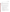¾ Coordinate the submission of verification reports and statements for final EPA approval.

# **A4.4 ARCADIS**

ARCADIS personnel are responsible for performing most of the actual testing activities, including providing required emissions sampling and analytical services. In addition, ARCADIS will purchase incidental materials as needed for the verification test, as well as provide repair and preventive maintenance support to equipment at the host facility that will be used during the verification test.

Dr. Dahman Touati is the ARCADIS Technical Lead for the dioxin EMS verification test. In this role, Dr. Touati is responsible for ensuring that the project meets the scheduled technical milestones agreed upon by Battelle through subcontracts with ARCADIS. Dr Touati will:

- $\triangleright$  Be the primary ARCADIS contact for Battelle's Verification Test Coordinator.
- $\triangleright$  Ensure that designated ARCADIS staff, and the EPA test facility are ready for the verification test.
- $\triangleright$  Coordinate distribution of the test/QA plan to ARCADIS staff.
- $\triangleright$  Coordinate the operations of the boiler and testing facilities.
- $\triangleright$  Direct the ARCADIS testing staff in performing the baseline testing in accordance with the test/QA plan.
- $\triangleright$  Review and approve all data and records related to facility operation
- $\triangleright$  Review the draft test/QA plan.
- $\triangleright$  Assist Battelle and EMS vendor staff in the installation, operation, testing, and removal of the EMSs at the EPA boiler facility, including connection of EMS flue gas sampling inlets to the facility stack.
- $\triangleright$  Assist in the planning and performance of the reference dioxin sampling and analysis.
- $\triangleright$  Ensure the availability of appropriate space and needed utilities (e.g., electricity, air, water) for the EMSs during testing.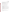- ¾ Support Battelle Testing Staff in providing daily oversight of the EMSs during periods of routine operation, checking diagnostic indicators and contacting Battelle if faults in EMS operation are observed.
- $\triangleright$  Support Battelle Testing Staff in recording observations about the maintenance and operation of the dioxin EMSs during the test period.
- $\triangleright$  At the option of EPA facility staff, review the draft verification reports and statements.
- $\triangleright$  Coordinate with the ARCADIS OA and safety officers to ensure appropriate procedures are in place and followed during the verification test.

The responsibilities of ARCADIS Testing Staff in this test are as follows:

- $\triangleright$  Provide equipment and personnel to carry out dioxin reference sampling using Method 23 sampling trains as described in this test/QA plan.
- $\triangleright$  Recover collected samples from the Method 23 trains, and transfer the recovered samples for dioxin analysis.
- $\triangleright$  Coordinate analysis on flue gas samples and QA samples per the modified Method 23 described in this test/QA plan.
- $\triangleright$  Calculate the Method 23 sampling results in terms of flue gas dioxin concentrations as specified in the method, and submit a report to Battelle that describes the sampling, and presents the sample analysis results, QA results, and calculated dioxin concentrations in the flue gas
- $\triangleright$  Review that portion of the verification reports that describes the Method 23 sampling and analysis.

The ARCADIS QA Officer is Laura Nessley who is responsible for:

 $\triangleright$  Reviewing and approving procedures and testing performed by ARCADIS and described in this QAPP.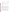- $\triangleright$  Ensuring that the ARCADIS portion of the QAPP is implemented by performing routine assessments.
- $\triangleright$  Communicating with Battelle's Quality Manager for the AMS center to coordinate any planned audits.

The ARCADIS Safety Officer is Jerry Revis. Mr. Revis will be responsible for:

- $\triangleright$  Ensuring that this project is carried out in accordance with all permit and EPA safety requirements.
- $\triangleright$  Ensuring that anyone working on the project has fulfilled all of the safety training requirements.

# **A5 BACKGROUND**

The ETV Program's AMS Center conducts third-party performance testing of commercially available technologies that detect or monitor natural species or contaminants in air, water, and soil. Stakeholder committees of buyers and users of such technologies recommend technology categories, and technologies within those categories, as priorities for testing. Dioxin EMSs were identified as a priority technology category through the AMS Center stakeholder process, since these emerging technologies have significant potential to improve upon the standard method for the determination of dioxins in flue gas.

EPA Method  $23<sup>1</sup>$  is the certified extractive method used for quantification of dioxin emissions from incinerators in the United States as well as in many other countries. This method is labor intensive, expensive, and requires an extended time for subsequent laboratory analysis of collected samples. As a result, Method 23 measurements are made infrequently (~once each year) for compliance purposes and not for long-term or short-term performance monitoring. New emerging technologies are being developed to provide semi-continuous monitoring or longterm sampling of dioxins, and may have the potential to provide more information on dioxin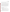*Dioxin Emission Monitoring Systems Test/QA Plan Page 14 of 48 Version: 1.0 September 2, 2005*

source emissions than the relatively few samples required under federal or state regulations. However, the performance of these newly introduced technologies has not been evaluated in the United States to determine their relative operational capabilities.

The purpose of this verification test is to generate performance data on dioxin EMS technologies so organizations and users interested in installing and operating dioxin EMSs on their municipal waste incinerators and industrial plants can be assured of their benefit. The test will be conducted over a period of approximately two weeks and will involve the continuous operation of several dioxin EMSs at a well-controlled, pilot-scale boiler facility located at EPA laboratories in Research Triangle Park, North Carolina. The accuracy and range of the EMSs will be determined through comparisons to the standard EPA integrated sampling method for dioxin. Other performance parameters such as data completeness, maintenance requirements, ease of use, and operational costs will be determined from operator observations. This test is not intended to simulate long-term performance of these technologies on a full-scale incinerator or plant.

#### **A6 VERIFICATION TEST DESCRIPTION AND SCHEDULE**

#### **A6.1 Verification Test Description**

In general, the dioxin EMS technologies to be evaluated in this verification test can be categorized into two groups:

- (1) technologies that collect long-term integrated samples of dioxin from flue gas onto sorbent media, for subsequent laboratory analysis, and
- (2) technologies that allow for continuous or semi-continuous sampling and automated, on-site analysis of dioxins or marker compounds using in-situ laser ionization/mass spectrometric techniques.

Typically, the technologies which collect integrated samples for laboratory analysis consist of a sampling unit which mounts to the duct and isokinetically samples the flue gas, and a control unit that remotely controls the gas sampling based on pre-set sampling times. In addition to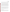*Dioxin Emission Monitoring Systems Test/QA Plan Page 15 of 48 Version: 1.0 September 2, 2005*

sample collection, these systems can be configured to measure a variety of flue gas parameters and can be programmed to automatically stop sampling in the event of unusual operating conditions. After sampling, the sample media are retrieved and sent to a laboratory for analysis.

The operating principles of the laser-ionization/mass spectrometric technologies include laserinduced ionization of a molecule of interest using a multi-step resonant process, followed by mass spectrometric measurement of the resulting ions. Typically, this process involves absorption of a single ultra violet (UV) photon followed by the subsequent absorption of a second UV photon to bring the internal energy of the molecule above its ionization energy, and resulting in the formation of a molecular ion. After ionization, the created ions are extracted into a time-of-flight (TOF) mass spectrometer and detected. Generally, the spectral absorption "fingerprint" of a specific molecule/ion is sufficiently unique for unambiguous identification of target molecules and can be obtained by systematically changing the wavelength of the laser radiation.

This verification test will involve the simultaneous evaluation of multiple dioxin EMSs under realistic operating conditions on a pilot-scale boiler. The EMSs will be operated for approximately two weeks, during which time a series of Method 23 reference samples will be collected. The operational parameters of the boiler will be systematically varied during testing to provide a range of expected dioxin concentrations in the flue gas.

In performing the verification test, Battelle will follow the technical and QA procedures specified in this test/QA plan and will comply with the data quality requirements in the AMS Center OMP.<sup>2</sup>

#### **A6.2 Verification Test Schedule**

Table A1 shows the planned schedule of testing and data analysis/reporting activities to be conducted in this verification. The verification test of dioxin EMSs is planned to be conducted in September 2005, with installation of the EMSs at the host facility in late August 2005.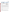| Date(s)                       | <b>Testing Activities</b>                                                                                                      | <b>Data Analysis and Reporting</b>                                                            |
|-------------------------------|--------------------------------------------------------------------------------------------------------------------------------|-----------------------------------------------------------------------------------------------|
| August 29-<br>September 9     | Set up/install EMSs<br><b>EMS</b> shakedown                                                                                    | Begin preparation of report template                                                          |
| September 12-<br>September 23 | Routine operation<br>Reference sampling periods<br>Remove EMSs from host facility<br>Begin analysis of first reference samples | Review and summarize operator<br>observations<br>Compile data from EMSs                       |
| October 30                    | Complete analysis of reference samples                                                                                         | Complete common sections of reports                                                           |
| November 30                   |                                                                                                                                | Complete draft reports<br>Vendor review of draft reports                                      |
| January 30, 2006              |                                                                                                                                | Revise draft reports<br>Peer review of draft reports<br>Submit final reports for EPA approval |

#### **Table A1. Planned Verification Test Schedule**

These reports will be reviewed by the respective vendors and by peer reviewers, and submitted to EPA for final signature. The period of operation of the EMSs at the facility will be approximately 2 weeks. Installation of the EMSs is expected to begin during the week of August 29, 2005 and is expected to be completed by September 9. Routine operation of the EMSs is expected to begin on September 12 and continue until September 23, 2005, or until all testing activities are completed. During testing, it is anticipated that at least one set of reference samples will be collected each day. Depending on timing, more than one set of reference samples may be collected in one day.

The test procedures are described in Section B of this test/QA plan. Changes in the operational conditions of the boiler will be introduced to provide a range of expected dioxin concentrations in the flue gas.

#### **A6.3 Test Facility**

A 2.94 MBtu/hr, 3-Pass Wetback Scotch Marine Packaged Boiler (SMPB) manufactured by Superior Boiler Works, Inc., and located at the EPA RTP facility, will be used for the verification test. This boiler is capable of firing natural gas or a variety of fuel oils. The oil burner used is a low pressure, air atomizing nozzle that delivers a fine spray at an angle which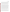.

*Dioxin Emission Monitoring Systems Test/QA Plan Page 17 of 48 Version: 1.0 September 2, 2005*

ensures proper mixing with the air stream. The burner can be set to fire automatically or manually at any desired rate between the minimum and the maximum firing rates. Fuel oil temperature can be adjusted using an electric heater to maintain proper viscosity; the fuel and atomizing airflow rates are variable to ensure adequate oil atomization. The boiler has 33-square meters of heating surface and generates up to 1,090 kg/hr of saturated steam at pressures up to 15 psig. Fuel flows are measured with a liquid volume totalizer and stoichiometric ratios are verified through  $O_2$  and  $CO_2$  emission concentrations. The SMPB is shown in Figure 1.

During this verification test, the SMPB will be fully instrumented with continuous emission monitors (CEMs) for a variety of species including  $O_2$ , CO, H<sub>2</sub>O, HCl, and SO<sub>2</sub>. Continuous emission monitoring of chemical species is performed with two shared CEMs for the package boiler facility. The first CEM bench includes four gas analyzers: high range CO, low range CO,  $O_2$ , and  $CO_2$ , each with multiple ranges. HCl, and  $SO_2$ , on the other hand, will be measured by a self-contained bench-scale CEM system (Bodenseewerk). The system uses an Altech Hot/Wet (HW) sampling system and a Perkin-Elmer (PE) MCS-100 Infrared (IR) Multi-Component Analyzer. The MCS is capable of measuring up to eight compounds simultaneously, using gas filter correlation and single beam dual wavelength techniques. The compounds that can be measured include HCl,  $NH_3$ ,  $N_2O$ ,  $H_2O$ ,  $NO_2$ ,  $CO$ ,  $CO_2$ , and  $SO_2$ . The HW probe assembly provides functions for reliable sampling of flue gases, while closely maintaining temperatures at elevated levels. The functions include probe blowback with instrument air, calibration gas injection, and processes to protect the system from corrosion. The Altech HW sampling system is designed to maintain elevated temperatures, up to 250 °C, throughout the entire gas analyzer. Monitored concentrations are continuously output as linear 4-20 mA signals.

The flue gas from the unit passes through a manifold to an air pollution control system (APCS) consisting of a natural-gas-fired secondary combustion chamber, a fabric filter, and an acid gas scrubber to ensure proper removal of pollutants. All emission measurements are taken prior to the APCS. The SMPB facility is equipped with several sampling ports located at the exit of the boiler. The vertical section of the duct (8 in. steel pipe) is sufficient in length and free of flow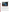*Dioxin Emission Monitoring Systems Test/QA Plan Page 18 of 48 Version: 1.0 September 2, 2005*



**Figure 1. Wetback Scotch Marine Packaged Boiler** 

disturbances so that particulate matter can be sampled at an axial location that meets EPA Method 1A particulate matter sampling requirements. Several sampling ports are located along the horizontal section of duct approximately 3 meters above the facility catwalk. The horizontal section of the duct (20 cm. steel pipe) is also sufficient in length and free of flow disturbances so that particulate matter can be sampled at an axial location that meets EPA Method 1A particulate matter sampling requirements. The boiler stack has been modified to accommodate sampling stations for each of the EMSs and for Method 23 sampling trains.

A surrogate chlorinated chemical (1,2-dichlorobenzene) and a source of metal atoms (copper naphthenate) will be added to the boiler fuel to promote dioxin formation for the EMS testing.<sup>4</sup> A surrogate feed system was designed to safely tap the surrogate feed line to the fuel line just before the burner nozzle. The feed system consists of a 37 liter pressurized stainless steel tank, in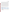*Dioxin Emission Monitoring Systems Test/QA Plan Page 19 of 48 Version: 1.0 September 2, 2005*

which the surrogate and the copper naphthenate are mixed. A series of check valves were incorporated in the feed system to avoid contaminating the fuel oil recirculation in case of an accidental shutdown of the boiler, as well as a flow meter for measurement of the feed flow rate. A solenoid valve electrically tied to the burner management/safety system is included to stop any surrogate feed to the burner when the burner is off. The pressurized stainless steel tank is contained in a secondary container to minimize any spill that may occur during the surrogate addition process. The amount of copper to be injected with the surrogate is calculated to simulate the copper content in ash of refuse-derived fuel, generating approximately 20% ash and an estimated concentration of copper of 100 mg per kg of ash. Since the mixture is prepared for different test conditions, the concentration of copper injected varies with the surrogate injection rate, the chlorine content in the boiler being the main driver. This injection rate is determined by the calculated HCl concentration to be maintained in the flue gas. Prior to testing, the boiler emissions were characterized under a series of test conditions similar to those that will be used in the verification test. The results of the boiler characterization are presented below.

Table A2 summarizes the characteristics of the flue gas from the EPA boiler at the point where the dioxin EMSs will be installed. These characteristics show the average and the range of several key constituents.

| <b>Parameter</b>                              | <b>Typical Value</b> | <b>Range or Maximum</b> |
|-----------------------------------------------|----------------------|-------------------------|
| $O_2(\% )$                                    | 2.2                  | $0.5 - 4.0$             |
| $CO2$ (%)                                     | 13.2                 | $12 - 15$               |
| CO (ppm)                                      | 230                  | $5 - 650$               |
| Calculated HCI (ppm)                          | 463                  | $35 - 1150$             |
| Total TEQ <sup>(a)</sup> (TEQ/dscm)           | 15.2                 | $1.6 - 56$              |
| (a)<br>$\tau = 0$ $\tau$ $\tau$ $\tau$ $\tau$ |                      |                         |

#### **Table A2. Stack Gas Characteristics of the EPA SMPB**

TEQ – Toxic Equivalents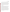# **A7 QUALITY OBJECTIVES AND CRITERIA FOR MEASUREMENT DATA**

The objective of this verification test is to evaluate the performance of dioxin EMSs under realistic operating conditions. This evaluation will in part assess the capabilities of the dioxin EMSs for determining dioxins in the flue gas of a boiler which is cofiring copper napthenate and dichlorobenzene, and will include a comparison of the EMS results to those of reference samples collected by Method  $23<sup>1</sup>$  and analyzed for dioxins according to a modified version of Method 23 as described in Section B4. Additionally, this evaluation will rely upon operator observations to assess other performance characteristics of the EMSs. Below is a discussion of the quality objectives and the criteria for measurement data that have been established to assure that the objectives of this test are met.

#### **A7.1 Quality Objectives**

The data quality objectives indicate the minimum quality of data required to meet the objectives of the verification of dioxin EMSs. The data quality objectives for this verification test include those for the collection and analysis of reference samples, those for the operation of the boiler at the test facility and consequently of the flue gas conditions, as well as those for the documentation of operator observations. The data quality objectives for the collection and analysis of the reference samples are based on the requirements of Method  $23<sup>1</sup>$  and the modifications to Method 23 described in Section B4, and are presented in terms of data quality indicators (DQI) criteria for the critical measurements associated with those methods. The data quality of the reference samples relies, in part, on the proper operation of the test boiler, and consequently on the flue gas conditions. As such, data quality objectives for the operation of the boiler have been established for this verification test and are defined in terms of DQI goals for the boiler controls, and for the CEMs which monitor the flue gas conditions. The data quality objectives for the operator observations have not been defined quantitatively but have been incorporated into documentation requirements and data review, verification, and validation requirements for this verification test.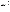#### **A7.2 Criteria for Measurement Data**

Table A3 presents the DQIs and criteria for the critical measurements of the reference method. Table A4 presents the criteria for DQIs for several important but non-critical measurements made by the CEMs at the SMPB facility.

The quality of the reference measurements will be assured by adherence to these DQI criteria and the requirements of Method 23 with the exception of the modifications described in Section B4, including the QA/QC requirements of those methods. The quality of the reference measurements will be monitored by inclusion of blank samples and performance evaluation (PE) samples (Section C1.1) as appropriate. The quality of the data relating to the boiler operation and the flue gas conditions will be assured through the accurate measurement of  $O_2$ , CO, H<sub>2</sub>O, dopant flow injection rate, and total flue gas flow rate.

Various calibration requirements and QA/QC checks are associated with Method 23 and are discussed in detail in Sections B2-B7 of this test/QA plan. Dioxin standards to be used in calibration standards and QC samples must meet National Institute of Standards and Technology (NIST) traceability, when available. Acceptance criteria for PE samples and PE audit measurements are given in Section C1.1.

The Battelle Quality Manager or his designee will perform a technical systems audit (TSA) at least once during this verification test to augment these QA/QC requirements. The EPA Quality Manager also may conduct an independent TSA, at her discretion.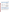#### **Table A3. DQIs and Criteria for Critical Measurements for EPA Method 23.**

| <b>Measurement</b>          | <b>DQI</b>  | Criteria                                                                                                                                           |
|-----------------------------|-------------|----------------------------------------------------------------------------------------------------------------------------------------------------|
| Internal standard recovery  | Accuracy    | Recovery:<br>40 to 130% for tetra-through hexachlorinated<br>compounds;<br>and<br>25 to 130% for hepta- and octachlorinated<br>compounds           |
| Surrogate standard recovery | Accuracy    | Goal of 70 to 130% recovery, otherwise<br>correction is necessary                                                                                  |
| Flue gas flow rate          | Precision   | ±5%                                                                                                                                                |
| Flue gas temperature        | Precision   | ±5 °C                                                                                                                                              |
| Flue gas pressure           | Precision   | ±2%                                                                                                                                                |
| Leak check                  | <b>Bias</b> | Leak rate of less than 0.02 $\text{ft}^3/\text{min}$                                                                                               |
| Field blanks                | <b>Bias</b> | if blank >30% of sample concentration, data<br>must be flagged                                                                                     |
| GC column performance       | <b>Bias</b> | Retention times within 10 seconds of expected<br>retention times                                                                                   |
| Solution blanks             | <b>Bias</b> | Blank <10% of sample concentration or <10 x<br>LOD, subtract blank from samples;<br>if blank >10% of sample concentration, data<br>must be flagged |
| Duplicate reference samples | Precision   | Concentration differences < 30%                                                                                                                    |

#### **Table A4. DQI Goals for SMPB Continuous Emission Monitors**

| <b>Measurement Parameter</b> | <b>Method</b> | <b>Precision</b><br>(RSD) (%) | Bias <sup>2</sup> (%) | <b>Completeness (%)</b> |
|------------------------------|---------------|-------------------------------|-----------------------|-------------------------|
|                              | <b>CEM</b>    | <7                            | $<$ 10                | >90                     |
| CO                           | <b>CEM</b>    | $20$                          | $<$ 10                | >90                     |
| H <sub>2</sub> O             | <b>CEM</b>    | $20$                          | $<$ 10                | >90                     |

<sup>1</sup>Analyzer precision will be assessed from repeated measurements under nominally constant operation (i.e., during bias testing).

 $2$ Analyzer bias is assessed daily; it measures the degree of disagreement between an averaged measurement and an accepted reference value, expressed as a percentage of the reference value.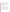# **A8 SPECIAL TRAINING/CERTIFICATION**

Documentation of training related to technology testing, field testing, data analysis, and reporting is maintained for all Battelle technical staff in training files at their respective locations. Documentation of the expertise and experience of ARCADIS staff in Method 23 sampling and analysis is similarly available. The Battelle Quality Manager may verify the presence of appropriate training records prior to the start of testing. If Battelle or ARCADIS staff operate and/or maintain an EMS during the verification test, the EMS vendor will be required to train those staff prior to the start of testing. Battelle will document this training with a consent form, signed by the vendor that specifies which Battelle/ARCADIS staff have been trained on their EMS. Battelle technical staff will have a minimum of a bachelor's degree in science/engineering or have equivalent work experience.

# **A9 DOCUMENTATION AND RECORDS**

The records for this verification test will include the test/QA plan, chain-of-custody forms, laboratory record books (LRB), data collection forms, electronic files (both raw data and spreadsheets), and the final verification report. All of these records will be maintained at the host facility or in the Verification Test Coordinator's office during the test and may be transferred to permanent storage at Battelle's Records Management Office (RMO) at the conclusion of the verification test. All Battelle LRBs are stored indefinitely, either by the Verification Test Coordinator or Battelle's RMO. EPA will be notified before disposal of any files. The documentation and results of the Method 23 measurements made by ARCADIS will be submitted to Battelle after completion of all sample analyses, review of the data, and calculation of dioxin concentrations in the flue gas. Section B10 further details the data recording practices and responsibilities.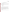# **SECTION B MEASUREMENT AND DATA ACQUISITION**

# **B1 EXPERIMENTAL DESIGN**

This test will specifically address verification of EMSs for dioxins in flue gas by evaluating the accuracy and operational range of the EMS measurements, as well as the ease of use, reliability, and maintenance needs of each EMS. Specifically, the dioxin EMSs will be evaluated for the following performance parameters:

- Relative Accuracy
- Range
- Data Completeness
- Operational factors such as maintenance, ease of use, reliability, and operational costs.

Relative accuracy and range will be determined for each EMS by comparison of EMS results to results from Method 23 reference samples collected simultaneously with the EMS measurements. Range will be determined from measurements over a variety of defined operating conditions expected to produce differing levels of dioxins. Data completeness will be assessed as the percentage of maximum data return that is achieved by each EMS over the test period. Operational factors will be evaluated by means of operator observations, and records of needed maintenance, vendor activities, and expendables used.

#### **B1.1 Test Procedures**

The following sections describe the test procedures that will be followed during the verification test.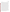#### *B1.1.1 Relative Accuracy*

The relative accuracy of each dioxin EMS will be evaluated by comparison of EMS results to simultaneous results obtained by sampling the flue gas with Method 23. During the verification test a series of nine (9) Method 23 test runs will be conducted using duplicate Method 23 trains. The Method 23 trains will sample from ports located at each end of the sampling region where the EMSs are installed. The reference samples will be recovered and submitted for analysis by the modified version of Method 23 described in Section B4. The dioxin concentrations determined by the reference methods will be compared to corresponding results from each EMS, averaged over the period of each Method 23 test run. During each of the test runs the boiler operation will be maintained as constant as possible based on measurements of the flue gas conditions and boiler control parameters (e.g., dopant injection rate). However, the duration of the sampling periods and the operating conditions of the boiler will be changed from run to run to provide a range of conditions under which the EMSs will be evaluated. Two sets of operating conditions will be used for the test runs to generate expected high and low dioxin concentrations. Test runs of various durations will be conducted under each set of operating conditions. The duration of the sampling periods for the Method 23 test runs will be varied to assess the ability of the EMSs to accurately determine dioxin concentrations over a range of sampling times. Sampling periods of four hours will be used to assess short-term accuracy of the EMSs, whereas long-term accuracy of the EMSs will be assessed from composite samples collected over two 8 hour sampling periods on successive days (i.e., totaling 16 hours per sample). For samples collected over multiple days, the Method 23 trains used for the sample collection will be removed from the duct after each session. The samples will be recovered and analyzed for each 8-hour session. The EMSs that collect long-term samples will be shut off after each 8-hour session but the sampling media may, at the vendor's discretion, remain in place until sampling has been completed for the appropriate number of 8-hour sessions. The results of the long term EMS samples will be compared with the cumulative average of the appropriate 8-hour reference samples. Table B1 shows the sampling durations and boiler operating conditions for each of the test runs, and Table B2 shows a tentative schedule for completion of the test runs. **Note: The test runs may not be completed in the order shown in the tables.**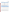| <b>Test Run</b>               | <b>Sampling Duration</b> | <b>Expected Dioxin Concentration</b> (a) |
|-------------------------------|--------------------------|------------------------------------------|
|                               | 4 hours                  | Low                                      |
| 2, 3                          | 16 hours (2 x 8 hours)   | High                                     |
| 4                             | 4 hours                  | Low                                      |
| 5                             | 8 hours                  | Low                                      |
| 6                             | 4 hours                  | High                                     |
| 7, 8                          | 16 hours (2 x 8 hours)   | Low                                      |
| 9<br>$\overline{\phantom{a}}$ | 4 hours                  | High                                     |

#### **Table B1. Test Run Summary**

<sup>(a)</sup> - Expected concentrations based on results of baseline testing. High corresponds to expected concentrations near the upper end of the range, and low corresponds to expected concentrations near the lower end of the range.

| <b>Test Run</b>         | Week 1 |   |   | Week 2    |   |   |   |   |           |    |
|-------------------------|--------|---|---|-----------|---|---|---|---|-----------|----|
|                         | M      | т | W | <b>Th</b> | F | M | т | W | <b>Th</b> | F. |
|                         | X      |   |   |           |   |   |   |   |           |    |
| 2, 3                    |        | X | X |           |   |   |   |   |           |    |
| $\overline{\mathbf{4}}$ |        |   |   | X         |   |   |   |   |           |    |
| 5                       |        |   |   |           | X |   |   |   |           |    |
| $\,6$                   |        |   |   |           |   | X |   |   |           |    |
| 7,8                     |        |   |   |           |   |   | X | X |           |    |
| 9                       |        |   |   |           |   |   |   |   | X         |    |

#### **Table B2. Tentative Schedule for Collection of Reference Samples**

Two Method 23 trains will be used to collect each reference sample during each test run. These trains will each sample isokinetically from a single point in the gas flow, with one of the trains sampling at each end of the sampling region where the EMSs are sampling. To assure comparability of the EMS and Method 23 results, each reference method sampling run will start no sooner than a time previously agreed upon with the EMS vendors. The vendors, Battelle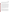staff, and ARCADIS staff will be given at least 15 minutes notice prior to the start of each reference sampling run. However, there will be no obligation to delay the start of a reference method run because of a lack of readiness on the part of an EMS vendor. Vendors will similarly be notified as the end of each Method 23 run approaches, so that they can stop sampling or define the reporting period for data, as appropriate for their EMS.

Upon completion of each test run, the Method 23 trains will be dismantled for sample recovery in the field by ARCADIS staff, and all collected sample fractions will be logged and stored for transfer to the analytical laboratory. All sample handling, QA/QC activities, and dioxin analyses will be conducted by ARCADIS or EPA staff, adhering to all requirements of Method 23 and the modifications described in Section B4 of this test/QA plan. Subsequent to analysis, ARCADIS will review the data, and report final dioxin concentrations from all trains in units of toxic equivalents per dry standard cubic meter (TEQ/dscm), corrected to  $7\%$   $O_2$ . The results from the simultaneously collected Method 23 trains will be used to assess the degree of dioxin loss (if any) in the duct between the two reference method sampling ports. Unless discrepancies of greater than 30% are observed for total measured TEQs between the reference samples collected simultaneously, the results from the reference method samples will be averaged together, to produce the final reference data used for comparison to the EMS results. If discrepancies of greater than 30% are observed, the data will be flagged and the samples will be treated as independent samples for comparison to the EMSs.

## *B1.1.2 Range*

No additional test procedures will be carried out specifically to address range. Rather, this parameter will be assessed in terms of relative accuracy over the range of measured dioxin concentrations and sampling periods. The reference method samples will be collected over a range of expected dioxin concentrations in order to assess the degree of agreement of each of the EMSs with the reference method under a range of conditions and sampling times. Based on results from baseline testing of the boiler conducted prior to the verification test, the dopant injection rate and firing conditions will be changed for different Method 23 runs to achieve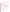different expected dioxin concentrations. Additionally, the duration of the test runs will be varied to achieve a range of sampling periods. The flue gas HCl level will be used as an indicator of the expected dioxin concentrations in the flue gas.

#### *B1.1.3 Data Completeness*

No additional test procedures will be carried out specifically to address data completeness. This parameter will be assessed based on the overall data return achieved by each EMS.

#### *B1.1.4 Operational Factors*

Operational factors such as maintenance needs, data output, consumables used, ease of use, repair requirements, etc., will be evaluated based on observations recorded by Battelle and facility staff, and in some cases by the EMS vendors. A laboratory record book will be maintained at the test facility, and will be used to enter daily observations on these factors. Examples of information to be recorded in the record books include the daily status of diagnostic indicators for the EMS; use or replacement of any consumables; the effort or cost associated with maintenance or repair; vendor effort (e.g., time on site) for repair or maintenance; the duration and causes of any EMS down time or data acquisition failure; and operator observations about ease of use of the EMS. These observations will be summarized to aid in describing EMS performance in the verification report on each EMS.

#### **B1.2 Statistical Analysis**

The statistical methods and calculations used for evaluation of the quantitative performance parameters are described in the following sections.

# *B1.2.1 Relative Accuracy*

The relative accuracy (RA) of the EMSs with respect to the reference sample results will be assessed as a percent bias, using Equation 1: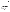*Dioxin Emission Monitoring Systems Test/QA Plan Page 29 of 48 Version: 1.0 September 2, 2005*

$$
RA = \frac{\left(\left|\overline{d}\right| + t_{0.975} \frac{S_d}{\sqrt{n}}\right)}{RM} \times 100 \quad (1)
$$

where:

 $\overline{d}$  = the absolute value of the mean of the differences between the EMS and reference sample results for each test run,

 $t_{0.975}$  = the *t*-value,

 $S_d$  = the standard deviation of the differences between the EMS and reference sample results for each test run, and

 $\overline{RM}$  = the mean of the reference method results.

#### *B1.2.2 Range*

The measurement range of the EMSs will be reported in terms of the accuracy of the EMSs relative to the reference method under the variety of boiler operating conditions and sampling durations used during the test runs.

#### *B1.2.3 Data Completeness*

Data completeness will be calculated as the percentage of the total possible data return over the entire field period that is achieved by each EMS. For each EMS that collects real-time data this calculation will use the total hours of data recorded, divided by the total hours of data in the entire field period. For EMSs that collect integrated samples, data completeness will be assessed in terms of the percentage of successfully recovered samples collected during the corresponding test runs. The causes of any substantial incompleteness of data return will be established from operator observations or vendor records, and noted in the discussion of data completeness results.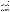#### **B1.3 Reporting**

The statistical comparisons described above will be conducted separately for each of the EMSs being tested, and information on the operational parameters will be compiled and reported. The data for each EMS will be kept separate from data for all other EMSs, and no intercomparison of the data from different EMSs will be performed at any time. A separate verification report will be prepared for each EMS tested, that presents the test procedures and test data, as well as the results of the statistical evaluation of those data.

Operational aspects of the EMSs will be recorded by testing staff at the time of observation during the field test, and summarized in the verification report. For example, descriptions of the data acquisition procedures, use of vendor-supplied proprietary software, consumables used, repairs and maintenance needed, and the nature of any problems will be presented in the report. Each verification report will briefly describe the ETV program, the AMS Center, and the procedures used in verification testing. The results of the verification test will be stated quantitatively, without comparison to any other EMS tested, or comment on the acceptability of the EMS's performance. Each draft verification report will first be subjected to review by the respective EMS vendor, then revised and subjected to a review by EPA and other peer reviewers. The peer review comments will be addressed in further revisions of the report, and the peer review comments and responses will be tabulated to document the peer review process. The reporting and review process will be conducted according to the requirements of the ETV/AMS Center OMP.<sup>2</sup>

#### **B2 SAMPLING METHOD REQUIREMENTS**

The collection of reference samples will be conducted as described above (Section B1.1.1) by ARCADIS, under subcontract to Battelle, according to the requirements of Method  $23<sup>1</sup>$  Method 23 is the standard sampling method for dioxins from municipal waste combustors. The method uses sampling trains that consist of a heated probe, heated box containing a cyclone and a filter, water-cooled condenser, water-cooled XAD-2 resin cartridge, impinger train for water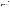*Dioxin Emission Monitoring Systems Test/QA Plan Page 31 of 48 Version: 1.0 September 2, 2005*

determination, leak-free vacuum line, vacuum pump, and a dry gas and orifice meter with flow control valves and vacuum gauge. During the verification test, temperatures will be measured and recorded in the hot box (set at  $125 \text{ }^{\circ}\text{C}$ ), at the impinger train outlet, at the XAD-2 cartridge outlet (maintained to be below ambient temperature) and at the inlet and outlet of the dry gas meter. Leak checks will be conducted at the beginning and end of each sample run to ensure integrity of the sampling train. Prior to sampling, all glassware, probe, glass wool and aluminum foil will be cleaned following the Method 23 cleaning procedure, and the XAD traps will be spiked with carbon-13 labeled dioxin surrogate standards according to Method 23 to assess the efficiency of sample recovery from the sampling train. Sampling will be conducted at a sampling rate of approximately 0.75 cubic feet per minute (CFM), based on isokineticity between sampling nozzle flow and flow from the source. Section B5 describes the QA/QC requirements of Method 23.

The preparation of calibration and QC samples, and the analysis of samples for dioxins will be carried out according to Method 23 as described in Section B5. In addition, independent audits of sampling procedures will be carried out by Battelle as part of the technical systems audit procedure (Section C1.2) and the performance evaluation audit procedure (Section C1.1).

## **B3 SAMPLE HANDLING AND CUSTODY REQUIREMENTS**

Following completion of each Method 23 run, each sampling train will be recovered in a clean area, and the cleanup procedure will begin as soon as the probe is removed from the sample source location. During the transportation between the test facility and the designated recovery area, both ends of the heated probe and openings of the impinger assembly will be sealed with aluminum foil or glass caps.

The sample fractions from each train shall include the following:

 $\triangleright$  Filter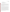- $\triangleright$  XAD-2 Resin Cartridge
- $\triangleright$  Front-half acetone/dichloromethane rinse collection jar
- $\triangleright$  Front-half toluene rinse collection jar
- $\triangleright$  Back-half acetone/dichloromethane rinse collection jar
- ¾ Back-half toluene rinse collection jar.

The filter will be recovered and placed in a Petri dish that is sealed with Teflon tape. The probe and front half of the filter housing will be rinsed with acetone followed by dichloromethane. The solvents will be collected in a single 250 mL amber jar. This fraction will be designated as the acetone/dichloromethane front-half rinse sample. The probe and filter housing will then be rinsed with toluene. The toluene will be collected in a separate 250 mL amber jar. This sample will be designated as the toluene front-half rinse sample. The collection of the rinses in separate bottles is a modification to Method 23.

The XAD-2 cartridges will be kept refrigerated prior to use and during transport to the facility to prevent evaporation of the pre-sampling surrogate standards. After sampling, the XAD-2 resin cartridge from each train shall be capped at both ends and wrapped in aluminum foil during transport. This fraction of the sampling train will be designated as the XAD-2 fraction. As with all sample fractions, the XAD-2 fractions will remain refrigerated during storage and transport. The back half of the filter housing, glass connection and condenser will be rinsed with acetone followed by dichloromethane. The solvents will be collected in a single 250 mL amber jar. This fraction will be designated as the acetone/dichloromethane back-half rinse sample. This glassware will then be rinsed with toluene and the solvent will be collected in a separate 250 mL amber jar. This fraction will be designated as the toluene back-half rinse sample. The solvent rinse jars shall be capped with Teflon lined caps and sealed with Teflon tape to prevent leakage and evaporation during transport. The recovered samples will be uniquely identified for each test run and stored in a refrigerated space before they are sent for analysis. The samples shall be refrigerated during transport to the analytical laboratory.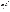*Dioxin Emission Monitoring Systems Test/QA Plan Page 33 of 48 Version: 1.0 September 2, 2005*

All reference samples will be in the custody of ARCADIS from sample collection through sample recovery and in the custody of EPA staff for analysis. Recovered samples will be carried by ARCADIS staff to the EPA laboratory for analysis. Sample custody will be documented throughout collection, recovery, and analysis of the reference samples, using standard forms used by ARCADIS for this purpose. Each chain-of-custody form will be signed by the person relinquishing samples once that person has verified that the chain-of-custody form is accurate. Upon receipt at the laboratory, chain-of-custody forms will be signed by the person receiving the samples once that person has verified that all samples identified on the chain-of-custody forms are present in the shipping container. Any discrepancies will be noted on the form and the sample receiver will immediately contact the ARCADIS technical lead to report missing, broken, or compromised samples. Copies of all chain-of-custody forms will be delivered to the Verification Testing Coordinator upon request, and maintained with the test records.

#### **B4 ANALYTICAL METHOD REQUIREMENTS**

Analysis of the reference samples for dioxins will be conducted at the EPA RTP Campus, using a modified version of Method 23. The modifications to Method 23 that will be followed for this verification test include:

- $\triangleright$  Analysis will be completed by high resolution gas chromatography/low resolution mass spectrometry (HRGC/LRMS). (The expected resolution for the LRMS is approximately 400, rather than 10,000 as stated for high resolution mass spectrometry.)
- $\triangleright$  Mass locking will not be used with LRMS.

The extraction and cleanup procedures for the target compounds of interest shall follow Method 23, with the exception that: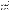- $\triangleright$  The front and back halves of the reference samples will be extracted and analyzed together rather than separately.
- $\triangleright$  The internal, surrogate, and recovery standards that are used in the modified method include several that are not included in the standard method. A list of these standards is presented in Appendix A.

ARCADIS will coordinate the analysis of the reference method samples, which will be conducted by EPA staff at the EPA RTP facility. EPA staff will be responsible for ensuring that the calibration of the analytical instrumentation and the analysis of the samples are conducted according to the requirements of the modified Method 23, and for ensuring that the appropriate QA/QC activities are conducted according to the method (see Section B5). ARCADIS will ensure that the calibration records for any instrumentation used are maintained and will be responsible for providing Battelle with documentation on calibration and quality control of the reference analyses, upon request.

# **B5 QUALITY CONTROL REQUIREMENTS**

As described in Section A7, reference dioxin sampling will be carried out using Method  $23<sup>1</sup>$ , and will be subject to the data quality criteria of that method. The analysis of the reference samples will be conducted according to Method 23, including the modifications described in Section B4, and will be subject to the data quality criteria of that method. Table B3 summarizes the quality control requirements of those two methods.If the sampling or analytical performance strays outside the required tolerances, the relevant QC checks will be conducted again or the relevant QC samples will be prepared again and reanalyzed. If performance problems persist, the reference instrument will be recalibrated, and/or affected samples will be reanalyzed. Reference sample results not meeting the requirement will be excluded from comparison to the dioxin EMS results.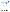| <b>Measured Parameter</b>                         | QC Check<br><b>Required Performance</b>                                     |                                                                                                                                          |  |  |  |
|---------------------------------------------------|-----------------------------------------------------------------------------|------------------------------------------------------------------------------------------------------------------------------------------|--|--|--|
| Overall cleanup and analysis<br>method efficiency | Internal standard<br>recovery                                               | Recovery:<br>40 to 130% for tetra-through hexachlorinated<br>compounds;<br>and<br>25 to 130% for hepta- and octachlorinated<br>compounds |  |  |  |
| Sampling train integrity                          | Leak check                                                                  | Leak rate of less than 0.02 ft $^3$ /min                                                                                                 |  |  |  |
| Sample train collection<br>efficiency             | Surrogate standard<br>recovery                                              | Goal of 70 to 130% recovery, otherwise<br>correction is necessary                                                                        |  |  |  |
| GC column performance                             | Performance check<br>samples                                                | Retention times within 10 seconds of expected<br>retention times                                                                         |  |  |  |
| Reagent solution<br>contamination                 | Solution blanks                                                             | Blank <10% of sample or <10 x LOD, subtract<br>blank from samples;<br>if blank >10% of sample, data must be flagged                      |  |  |  |
| Sampling media<br>contamination                   | Field blanks                                                                | if blank >30% of sample, data must be flagged                                                                                            |  |  |  |
| Precision of Method 23<br>sampling trains         | Duplicate reference<br>samples collected at<br>each end of<br>sampling duct | If concentrations do not agree within ±30% the<br>data must be flagged and samples treated<br>independently                              |  |  |  |

## **Table B3. QC Checks for Method 23**

# **B6 INSTRUMENT/EQUIPMENT TESTING, INSPECTION, AND MAINTENANCE**

The equipment used for the reference sampling and analysis will be tested, inspected, and maintained so as to meet the performance requirements established in Method 23. System preventive maintenance will be performed prior to the start of each test as needed. All major components will be checked to ensure operability and repaired when required. Laboratory equipment maintenance is conducted as recommended by the manufacturer on an as-needed basis. Daily calibrations of the CEMs will be conducted to ensure continued reliable operation and provide the operator warnings of abnormal operation.

The EPA Metrology Laboratory, prior to the start of the sampling program, will calibrate fieldsampling equipment, such as Method 5 meter boxes for volumetric flow rates. Any leaks that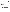have developed will be repaired, parts will be lubricated as recommended by the manufacturer, and manometers will be filled and checked for leaks. Replacement parts, including fuses, pumps, spare tubing, compression fittings, etc., are maintained in the laboratory to minimize downtime. Equipment manufacturers and overnight delivery services will be utilized for repair parts in emergency situations.

If Battelle or ARCADIS staff operate and maintain the dioxin EMSs undergoing testing, those activities will be done as directed by the vendor. Otherwise, operation and maintenance of the EMSs will be the responsibility of the EMS vendors.

# **B7 INSTRUMENT CALIBRATION AND FREQUENCY**

# **B7.1 Sampling Equipment Calibration**

The instrumentation used for the reference sample collection and analysis will be calibrated per the requirements stated in the EPA certified methods. EPA methods require that a laboratory record be maintained of all calibrations. The calibration requirements of Method 23 include the following minimal calibration activities:

- ¾ Standard Pitot tube will be inspected and cleaned before each Method 23 test run.
- $\triangleright$  The volume metering system will be calibrated within six months of use during the verification test using a wet-test meter, as permitted in the Method.
- $\blacktriangleright$  All thermocouples and dial thermometers will be calibrated within six months of use during the verification test. Thermometric fixed points (i.e. ice bath and boiling water) are adequate standards for this task.
- $\triangleright$  The portion of the volume metering system from the pump to the orifice meter will be leak checked following each test, using the procedure described in EPA Method 5, Section 8.4.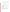$\triangleright$  Barometers will be calibrated within six months of use during the verification test by reference to a mercury barometer or a local National Weather Service station. Corrections will be made at a rate of -0.1 inches Hg per 100 feet of elevation above sea level.

Additionally, to ensure the accurate measurement of the flue gas conditions,

 $\triangleright$  The two self-contained bench-scale CEM systems at the SMPB will be calibrated at the start of each sampling day, and verified at the end of each sampling day to correct for possible sample drift and bias.

# **B7.2 Analytical Instrumentation Calibration**

Prior to sample analysis, a calibration of the analytical instrumentation must be conducted according to Section 6 of Method 23. Also, a daily performance check must be conducted daily according to Section 6.1.2 of Method 23.

#### **B7.3 Dioxin EMS Calibration**

The dioxin EMSs undergoing testing will be calibrated initially by the respective EMS vendors at the time of installation at the host facility. In the event that recalibration is necessary, that recalibration will be carried out by the EMS vendor, or by Battelle staff under the direction of the vendor. All calibrations performed will be documented by Battelle or host facility staff in the project record book dedicated to the respective EMS.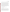# **B8 INSPECTION/ACCEPTANCE OF SUPPLIES AND CONSUMABLES**

All materials, supplies, and consumables will be ordered by the Verification Test Coordinator or designee. Where possible, Battelle will rely on sources of materials and consumables that have been used previously as part of ETV verification testing without problems. Battelle will also rely on previous experience or recommendations from EPA advisors, ARCADIS staff, or EMS vendors. Upon receipt of any supplies or consumables, the Verification Test Coordinator or his designee will visually inspect and ensure that the materials received are those that were ordered and that there are no visual signs of damage that could compromise the suitability of the materials. If damaged or inappropriate goods are received they will be returned or disposed of and arrangements will be made to receive replacement materials. Certificates of analysis (COA) or other documentation of analytical purity will be checked for all gases, reagents, and standards to ensure suitability for this verification test. Unsuitable materials will be returned or disposed of and arrangements for the receipt of replacement materials will be made.

#### **B9 NON-DIRECT MEASUREMENTS**

No non-direct measurements will be used during this verification test.

#### **B10 DATA MANAGEMENT**

Various types of data will be acquired and recorded electronically or manually by Battelle, vendor, and ARCADIS staff during this verification test. All data will be recorded in permanent ink. Corrections to records will be made by drawing a single line through the entry to be corrected and providing a simple explanation for the correction, along with a date and the initials of the person making the correction. Table B4 summarizes the types of data to be recorded. All maintenance activities, repairs, calibrations, and operator observations relevant to the operation of the dioxin EMSs will be documented by Battelle or ARCADIS staff in laboratory record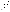| Data to Be<br><b>Recorded</b>                                                          | <b>Where Recorded</b>                                                                                            | <b>How Often</b><br><b>Recorded</b>                                                                        | <b>By Whom</b>                                    | <b>Disposition of Data</b>                                                                                                              |
|----------------------------------------------------------------------------------------|------------------------------------------------------------------------------------------------------------------|------------------------------------------------------------------------------------------------------------|---------------------------------------------------|-----------------------------------------------------------------------------------------------------------------------------------------|
| Dates, times, and<br>details of test<br>events, EMS<br>maintenance,<br>down time, etc. | ETV test notebooks                                                                                               | Start/end of test<br>procedure, and at<br>each change of a<br>test parameter or<br>change of EMS<br>status | Battelle and<br><b>ARCADIS</b>                    | Used to<br>organize/check test<br>results; manually<br>incorporated in data<br>spreadsheets as<br>necessary                             |
| <b>EMS</b> calibration<br>information                                                  | ETV test notebooks,<br>or electronically                                                                         | At EMS calibration<br>or re-calibration                                                                    | Vendor,<br>Battelle, and<br><b>ARCADIS</b>        | Incorporated in<br>verification report as<br>necessary                                                                                  |
| <b>EMS</b> readings                                                                    | Recorded<br>electronically by<br>each monitor and<br>then downloaded to<br>computer at the<br>close of each day. | Recorded<br>continuously, or as<br>determined by<br>each EMS.                                              | EMS vendor,<br>for transfer to<br><b>Battelle</b> | Converted to<br>spreadsheet for<br>statistical analysis<br>and comparisons                                                              |
| <b>Integrated EMS</b><br>measurement<br>results                                        | Electronically from<br>analytical method                                                                         | Every sample<br>analysis                                                                                   | Analytical<br>laboratory                          | Converted to<br>spreadsheets for<br>calculation of flue<br>gas dioxin<br>concentrations, and<br>statistical analysis<br>and comparisons |
| Reference<br>method<br>procedures,<br>calibrations, QA,<br>etc.                        | Laboratory record<br>books, or data<br>recording forms                                                           | Throughout<br>sampling and<br>analysis processes                                                           | <b>ARCADIS</b>                                    | Retained as<br>documentation of<br>reference method<br>performance                                                                      |
| Reference<br>method analysis<br>results                                                | Electronically from<br>analytical method                                                                         | Every sample<br>analysis                                                                                   | <b>ARCADIS</b>                                    | Converted to<br>spreadsheets for<br>calculation of flue<br>gas dioxin<br>concentrations, and<br>statistical analysis<br>and comparisons |

#### **Table B4. Summary of Data Recording Process**

Records received by or generated by any Battelle or ARCADIS staff during the verification test will be reviewed by a Battelle staff member within two weeks of receipt or generation,

respectively, before the records are used to calculate, evaluate, or report verification results. If a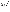*Dioxin Emission Monitoring Systems Test/QA Plan Page 40 of 48 Version: 1.0 September 2, 2005*

Battelle staff member generated the record, this review will be performed by a Battelle technical staff member involved in the verification test, but not the staff member who originally received or generated the record. The review will be documented by the person performing the review by adding his/her initials and date to the hard copy of the record being reviewed. In addition, any calculations performed by Battelle or ARCADIS staff will be spot-checked by Battelle technical staff to ensure that calculations are performed correctly. Calculations to be checked include any statistical calculations described in this test/QA plan. The data obtained from this verification test will be compiled and reported independently for each dioxin EMS. Results for EMSs from different vendors will not be compared with each other.

Among the QA activities conducted by Battelle QA staff will be an audit of data quality. This audit will consist of a review by the Battelle Quality Manager of at least 10% of the test data. During the course of any such audit, the Battelle Quality Manager will inform the technical staff of any findings and any immediate corrective action that should be taken. If serious data quality problems exist, the Battelle Quality Manager will inform the AMS Center Manager who is authorized to stop work. Once the assessment report has been prepared, the Verification Test Coordinator will ensure that a response is provided for each adverse finding or potential problem, and will implement any necessary follow-up corrective action. The Battelle Quality Manager will ensure that follow-up corrective action has been taken.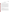# **SECTION C ASSESSMENT AND OVERSIGHT**

# **C1 ASSESSMENTS AND RESPONSE ACTIONS**

Every effort will be made in this verification test to anticipate and resolve potential problems before the quality of performance is compromised. One of the major objectives of this test/QA plan is to establish mechanisms necessary to ensure this. Internal quality control measures described in this test/QA plan, which is peer reviewed by a panel of outside experts, implemented by the technical staff and monitored by the Verification Test Coordinator, will give information on data quality on a day-to-day basis. The responsibility for interpreting the results of these checks and resolving any potential problems resides with the Verification Test Coordinator. Technical staff have the responsibility to identify problems that could affect data quality or the ability to use the data. Any problems that are identified will be reported to the Verification Test Coordinator, who will work with the Battelle Quality Manager to resolve any issues. Action will be taken to control the problem, identify a solution to the problem, and minimize losses and correct data, where possible. Independent of any EPA QA activities, Battelle will be responsible for ensuring that the following audits are conducted as part of this verification test.

#### **C1.1 Performance Evaluation Audit**

A Performance Evaluation (PE) audit will be conducted to assess the quality of the critical measurements associated with the reference sampling and analysis methods. In the PE audit, critical measurements associated with the reference methods will be checked by comparison with an independent instrument, or an independent NIST-traceable standard. Table C1 shows the critical measurements to be audited, with the audit procedures and acceptance criteria for the audit comparisons. If the PE audit results do not meet the acceptance criteria shown, they will be repeated. If the outlying results persist, a change in reference instrument and a repeat of the PE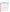| <b>Critical Measurement</b>           | <b>PE Audit Method</b>                                   | <b>Acceptance Criteria</b>                                                                                                      |
|---------------------------------------|----------------------------------------------------------|---------------------------------------------------------------------------------------------------------------------------------|
| Method 23 gas sample flow rate        | Compare to independent flow<br>measurement device        | ±5%                                                                                                                             |
| Method 23 stack gas<br>temperature    | Compare to independent temperature<br>measurement device | ±2% absolute temperature                                                                                                        |
| Barometric pressure                   | Compare to independent pressure<br>gauge                 | $±1\%$ absolute pressure                                                                                                        |
| Dioxin internal standard recovery     | Method spike with an independent<br>dioxin standard      | 40 to 130% for tetra-<br>through hexachlorinated<br>compounds; and<br>25 to 130% for hepta- and<br>octachlorinated<br>compounds |
| Dioxin surrogate standard<br>recovery | Field spike with an independent dioxin<br>standard       | 70 to 130% recovery                                                                                                             |

**Table C1. Methods and Acceptance Criteria for PE Audit Measurements**

audit may be considered, and data will be flagged until the PE audit results are acceptable. This audit will be performed once during the verification test, and will be the responsibility of the Verification Test Coordinator or his designee.

The PE audit of the surrogate standard recovery will be performed by spiking one blank Method 23 train with a NIST-traceable dioxin solution, provided by Battelle. The spiked train will not be used to collect a flue gas sample but will be recovered and analyzed in the same manner as for all other Method 23 trains, and the analytical results will be compared to the spike amount to assess recovery. The target criteria for this PE audit are 40-130% recovery of the surrogate standards for the tetra-through hexachlorinated compounds, and 25-130% for the hepta- and octachlorinated compounds. If these criteria are not met, the data will be flagged and noted in the verification report.

The PE audit of the internal standard recovery will be performed by spiking one blank XADcartridge with a NIST-traceable dioxin internal standard solution provided by Battelle rather than the internal standard solution typically used by the laboratory. This spiked cartridge will be extracted and analyzed in the same manner as for all the other cartridges. The target criterion for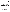*Dioxin Emission Monitoring Systems Test/QA Plan Page 43 of 48 Version: 1.0 September 2, 2005*

this PE audit is 70-130% recovery of the internal standards. If this criterion is not met, the data will be flagged and congener-specific correction factors will be applied to account for material loss (or gain).

#### **C1.2 Technical Systems Audits**

The Battelle Quality Manager will perform a technical systems audit (TSA) at least once during this verification test. The purpose of this audit is to ensure that the verification test is being performed in accordance with the AMS Center QMP,<sup>2</sup> this test/QA plan, published reference methods, and any SOPs used by the test facility. In this audit, the Battelle Quality Manager, or designee, may review the reference methods used, compare actual test procedures to those specified or referenced in this plan, and review data acquisition and handling procedures. In the TSA, the Battelle Quality Manager will tour the test site and EMS locations; observe the Method 23 sampling and sample recovery; inspect documentation of reference sample chain of custody; and review laboratory record books. He will also check gas standard certifications and EMS data acquisition procedures, and may confer with the EMS vendors and ARCADIS testing staff. A TSA report will be prepared, including a statement of findings and the actions taken to address any adverse findings. The EPA AMS Center Quality Manager will receive a copy of Battelle's TSA report. At EPA's discretion, EPA QA staff may also conduct an independent on-site TSA during the verification test. The TSA findings will be communicated to technical staff at the time of the audit and documented in a TSA report.

#### **C1.3 Data Quality Audits**

The Battelle Quality Manager, or his designee, will audit at least 10% of the verification data acquired in the verification test. The Battelle Quality Manager, or his designee, will trace the data from initial acquisition, through reduction and statistical comparisons, to final reporting. All calculations performed on the data undergoing the audit will be checked.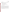# **C1.4 QA/QC Reporting**

Each assessment and audit will be documented in accordance with Section 3.3.4 of the AMS Center QMP. $^{2}$  The results of the TSA will be submitted to EPA. Assessment reports will include the following:

- C Identification of any adverse findings or potential problems
- C Response to adverse findings or potential problems
- C Recommendations for resolving problems
- C Confirmation that solutions have been implemented and are effective
- C Citation of any noteworthy practices that may be of use to others.

# **C2 REPORTS TO MANAGEMENT**

The Battelle Quality Manager, during the course of any assessment or audit, will identify to the technical staff performing experimental activities any immediate corrective action that should be taken. If serious quality problems exist, the Battelle Quality Manager will notify the AMS Center Manager, who is authorized to stop work. Once the assessment report has been prepared, the Verification Test Coordinator will ensure that a response is provided for each adverse finding or potential problem and will implement any necessary follow-up corrective action. The Battelle Quality Manager will ensure that follow-up corrective action has been taken. The test/QA plan and final report are reviewed by EPA AMS Center quality assurance staff and the EPA AMS Center program management staff. Upon final review and approval, both documents will then be posted on the ETV website (www.epa.gov/etv).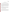# **SECTION D**

# **DATA VALIDATION AND USABILITY**

# **D1 DATA REVIEW, VERIFICATION, AND VALIDATION REQUIREMENTS**

The key data review and data verification requirements for this test are stated in Section B10 of this test/QA plan. In general, the data review requirements specify that data generated during this test will be reviewed by a Battelle technical staff member within two weeks of generation of the data. The reviewer will be familiar with the technical aspects of the verification test but will not be the person who generated the data. This process will serve both as the data review and the data verification, and will ensure that the data have been recorded, transmitted and processed properly. Furthermore, this process will ensure that the EMS data and reference method data were collected under appropriate testing conditions and that the reference sample data meet the specifications of Method 23.

The data validation requirements for this test involve an assessment of the quality of the data relative to the DQIs and audit acceptance criteria specified for this test. The DQIs listed in Section B5 will be used to validate the quality of the data. The QA audits described within Section C of this document, including the performance evaluation audit and the audit of data quality, are also designed to validate the quality of the data.

# **D2 VERIFICATION AND VALIDATION METHODS**

Data verification is conducted as part of the data review as described in Section B10 of this test/QA plan. A visual inspection of handwritten data will be conducted to ensure that all entries were properly recorded or transcribed, and that any erroneous entries were properly noted (i.e., single line through the entry, with an error code and the initials of the recorder and date of entry). Electronic data from the CEMs, EMSs, and other instruments used during the test will be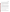*Dioxin Emission Monitoring Systems Test/QA Plan Page 46 of 48 Version: 1.0 September 2, 2005*

inspected to ensure proper transfer from the datalogging system. All calculations used to transform the data will be reviewed to ensure the accuracy and the appropriateness of the calculations. Calculations performed manually will be reviewed and repeated using a handheld calculator or commercial software (e.g., Excel). Calculations performed using standard commercial office software (e.g., Excel) will be reviewed by inspection of the equations used for the calculations and verification of selected calculations by handheld calculator. Calculations performed using specialized commercial software (i.e., for analytical instrumentation) will be reviewed by inspection and, when feasible, verified by handheld calculator, or standard commercial office software.

To ensure that the data generated from this test meet the goals of the test, a number of data validation procedures will be performed. Section C of this test/QA plan provides a description of the validation safeguards employed for this verification test. Data validation efforts include the completion of QC activities, and the performance of TSA and PE audits as described in Section C. The data from this test will be evaluated relative to the measurement DQIs described in Section B5, and the PE audit acceptance criteria given in Section C1.1 of this test/QA plan. Data failing to meet these criteria will be flagged in the data set and not used for evaluation of the EMS, unless these deviations are accompanied by descriptions of their potential impacts on the data quality.

An audit of data quality will be conducted by the Battelle Quality Manager to ensure that data review, verification, and validation procedures were completed, and to assure the overall quality of the data.

#### **D3 RECONCILIATION WITH USER REQUIREMENTS**

This purpose of this verification test is to evaluate the performance of commercial dioxin EMSs. In part, this evaluation will include comparisons of results from the EMSs to the results from reference samples generated from a well-established EPA method for sample collection, and a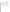*Dioxin Emission Monitoring Systems Test/QA Plan Page 47 of 48 Version: 1.0 September 2, 2005*

second well-established EPA method for sample analysis. To meet the requirements of the user community, the reference data collected during this verification test should meet the QA requirements of the reference methods. Additional performance data will be collected by testing personnel regarding operational characteristics of the EMSs. To meet the requirements of the user community, these data should include thorough documentation of the performance of the EMSs during the verification test. The data review, verification, and validation procedures described above will assure that data meeting these requirements is accurately presented in the verification reports generated from this test, and will assure that data not meeting these requirements will be appropriately flagged and discussed in the verification reports.

This test/QA plan and the resulting ETV verification report(s) will be subjected to review by the EMS vendors, the host facility, EPA, and expert peer reviewers. The reviews of this test/QA plan will assure that this verification test and the resulting report(s) meet the needs of potential users and permitters of dioxin EMSs.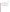# **SECTION E**

# **REFERENCES**

- 1. Method 23 Determination of Polychlorinated Dibenzo-p-dioxins and Polychlorinated Dibenzofurans from Municipal Waste Combustors. U.S. Environmental Protection Agency, February 1991. Available at: http://www.epa.gov/ttn/emc/promgate/m-23.pdf
- 2. Quality Management Plan for the ETV Advanced Monitoring Systems Center, Version 5.0, U.S. EPA Environmental Technology Verification Program, Battelle, Columbus, Ohio, March 2004.
- 3. Environmental Technology Verification Program Quality Management Plan, EPA/600/R-03/021, U.S. Environmental Protection Agency, Cincinnati, Ohio, December 2002
- 4. George C. Clark, Michael Chu, Dahman Touati, Barry Rayfield, Jon Stone, and Marcus Cooke, A Novel Low-Cost Air Sampling Device (AmbStack Sampler) and Detection System (CALUX Bioassay) for Measuring Air Emissions of Dioxin, Furan, and PCB on a TEQ Basis Tested With a Model Industrial Boiler**,** Organohalogen Compounds, **40** (1999), 79-82.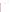*Dioxin Emission Monitoring Systems Test/QA Plan Page A1 Version: 1.0 October 13, 2005*

# **APPENDIX A**

**Modified Method 23 Spiking Scheme**